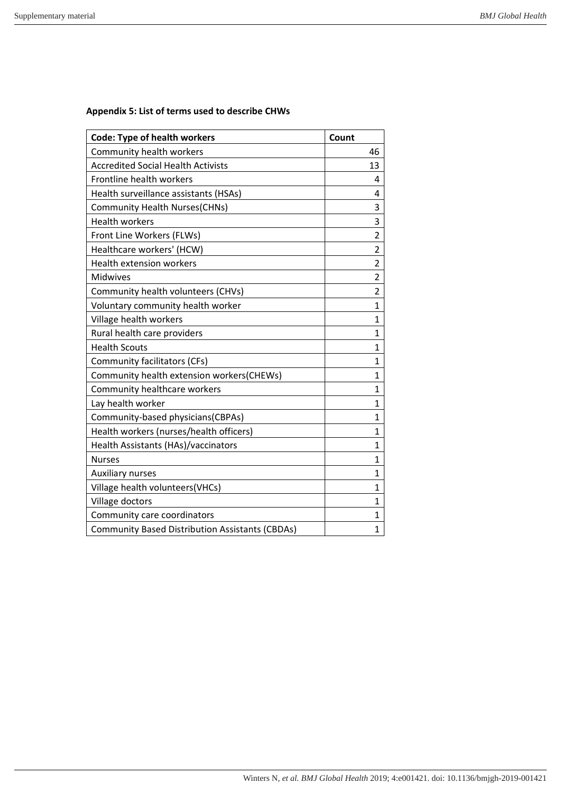## **Appendix 5: List of terms used to describe CHWs**

| <b>Code: Type of health workers</b>                    | Count          |
|--------------------------------------------------------|----------------|
| Community health workers                               | 46             |
| <b>Accredited Social Health Activists</b>              | 13             |
| Frontline health workers                               | 4              |
| Health surveillance assistants (HSAs)                  | 4              |
| <b>Community Health Nurses(CHNs)</b>                   | 3              |
| <b>Health workers</b>                                  | 3              |
| Front Line Workers (FLWs)                              | 2              |
| Healthcare workers' (HCW)                              | $\overline{2}$ |
| <b>Health extension workers</b>                        | $\overline{2}$ |
| Midwives                                               | $\overline{2}$ |
| Community health volunteers (CHVs)                     | $\overline{2}$ |
| Voluntary community health worker                      | 1              |
| Village health workers                                 | 1              |
| Rural health care providers                            | 1              |
| <b>Health Scouts</b>                                   | 1              |
| Community facilitators (CFs)                           | 1              |
| Community health extension workers(CHEWs)              | 1              |
| Community healthcare workers                           | 1              |
| Lay health worker                                      | 1              |
| Community-based physicians(CBPAs)                      | 1              |
| Health workers (nurses/health officers)                | $\mathbf{1}$   |
| Health Assistants (HAs)/vaccinators                    | 1              |
| <b>Nurses</b>                                          | 1              |
| Auxiliary nurses                                       | 1              |
| Village health volunteers(VHCs)                        | 1              |
| Village doctors                                        | 1              |
| Community care coordinators                            | 1              |
| <b>Community Based Distribution Assistants (CBDAs)</b> | 1              |